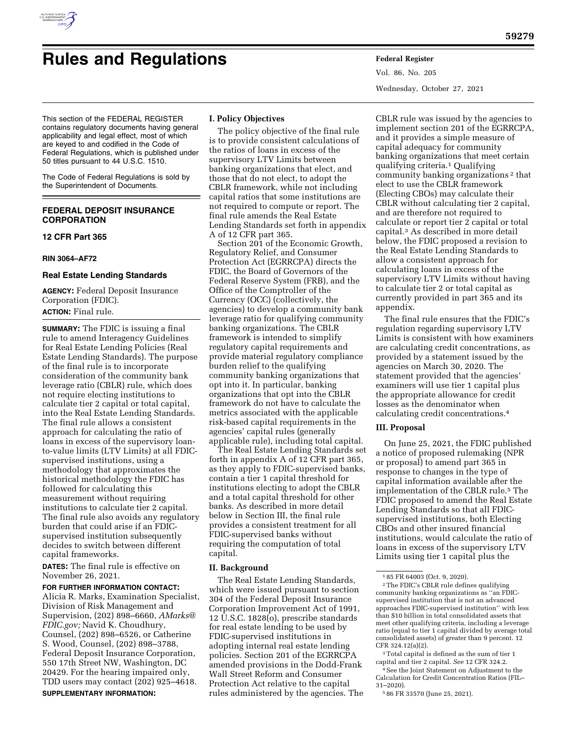

# **Rules and Regulations Federal Register**

Vol. 86, No. 205 Wednesday, October 27, 2021

This section of the FEDERAL REGISTER contains regulatory documents having general applicability and legal effect, most of which are keyed to and codified in the Code of Federal Regulations, which is published under 50 titles pursuant to 44 U.S.C. 1510.

The Code of Federal Regulations is sold by the Superintendent of Documents.

# **FEDERAL DEPOSIT INSURANCE CORPORATION**

## **12 CFR Part 365**

#### **RIN 3064–AF72**

#### **Real Estate Lending Standards**

**AGENCY:** Federal Deposit Insurance Corporation (FDIC). **ACTION:** Final rule.

**SUMMARY:** The FDIC is issuing a final rule to amend Interagency Guidelines for Real Estate Lending Policies (Real Estate Lending Standards). The purpose of the final rule is to incorporate consideration of the community bank leverage ratio (CBLR) rule, which does not require electing institutions to calculate tier 2 capital or total capital, into the Real Estate Lending Standards. The final rule allows a consistent approach for calculating the ratio of loans in excess of the supervisory loanto-value limits (LTV Limits) at all FDICsupervised institutions, using a methodology that approximates the historical methodology the FDIC has followed for calculating this measurement without requiring institutions to calculate tier 2 capital. The final rule also avoids any regulatory burden that could arise if an FDICsupervised institution subsequently decides to switch between different capital frameworks.

**DATES:** The final rule is effective on November 26, 2021.

# **FOR FURTHER INFORMATION CONTACT:**

Alicia R. Marks, Examination Specialist, Division of Risk Management and Supervision, (202) 898–6660, *[AMarks@](mailto:AMarks@FDIC.gov) [FDIC.gov;](mailto:AMarks@FDIC.gov)* Navid K. Choudhury, Counsel, (202) 898–6526, or Catherine S. Wood, Counsel, (202) 898–3788, Federal Deposit Insurance Corporation, 550 17th Street NW, Washington, DC 20429. For the hearing impaired only, TDD users may contact (202) 925–4618. **SUPPLEMENTARY INFORMATION:** 

# **I. Policy Objectives**

The policy objective of the final rule is to provide consistent calculations of the ratios of loans in excess of the supervisory LTV Limits between banking organizations that elect, and those that do not elect, to adopt the CBLR framework, while not including capital ratios that some institutions are not required to compute or report. The final rule amends the Real Estate Lending Standards set forth in appendix A of 12 CFR part 365.

Section 201 of the Economic Growth, Regulatory Relief, and Consumer Protection Act (EGRRCPA) directs the FDIC, the Board of Governors of the Federal Reserve System (FRB), and the Office of the Comptroller of the Currency (OCC) (collectively, the agencies) to develop a community bank leverage ratio for qualifying community banking organizations. The CBLR framework is intended to simplify regulatory capital requirements and provide material regulatory compliance burden relief to the qualifying community banking organizations that opt into it. In particular, banking organizations that opt into the CBLR framework do not have to calculate the metrics associated with the applicable risk-based capital requirements in the agencies' capital rules (generally applicable rule), including total capital.

The Real Estate Lending Standards set forth in appendix A of 12 CFR part 365, as they apply to FDIC-supervised banks, contain a tier 1 capital threshold for institutions electing to adopt the CBLR and a total capital threshold for other banks. As described in more detail below in Section III, the final rule provides a consistent treatment for all FDIC-supervised banks without requiring the computation of total capital.

# **II. Background**

The Real Estate Lending Standards, which were issued pursuant to section 304 of the Federal Deposit Insurance Corporation Improvement Act of 1991, 12 U.S.C. 1828(o), prescribe standards for real estate lending to be used by FDIC-supervised institutions in adopting internal real estate lending policies. Section 201 of the EGRRCPA amended provisions in the Dodd-Frank Wall Street Reform and Consumer Protection Act relative to the capital rules administered by the agencies. The

CBLR rule was issued by the agencies to implement section 201 of the EGRRCPA, and it provides a simple measure of capital adequacy for community banking organizations that meet certain qualifying criteria.1 Qualifying community banking organizations 2 that elect to use the CBLR framework (Electing CBOs) may calculate their CBLR without calculating tier 2 capital, and are therefore not required to calculate or report tier 2 capital or total capital.3 As described in more detail below, the FDIC proposed a revision to the Real Estate Lending Standards to allow a consistent approach for calculating loans in excess of the supervisory LTV Limits without having to calculate tier 2 or total capital as currently provided in part 365 and its appendix.

The final rule ensures that the FDIC's regulation regarding supervisory LTV Limits is consistent with how examiners are calculating credit concentrations, as provided by a statement issued by the agencies on March 30, 2020. The statement provided that the agencies' examiners will use tier 1 capital plus the appropriate allowance for credit losses as the denominator when calculating credit concentrations.4

# **III. Proposal**

On June 25, 2021, the FDIC published a notice of proposed rulemaking (NPR or proposal) to amend part 365 in response to changes in the type of capital information available after the implementation of the CBLR rule.5 The FDIC proposed to amend the Real Estate Lending Standards so that all FDICsupervised institutions, both Electing CBOs and other insured financial institutions, would calculate the ratio of loans in excess of the supervisory LTV Limits using tier 1 capital plus the

<sup>3</sup> Total capital is defined as the sum of tier 1 capital and tier 2 capital. *See* 12 CFR 324.2. 4See the Joint Statement on Adjustment to the Calculation for Credit Concentration Ratios (FIL– 31–2020).

5 86 FR 33570 (June 25, 2021).

<sup>1</sup> 85 FR 64003 (Oct. 9, 2020).

<sup>2</sup>The FDIC's CBLR rule defines qualifying community banking organizations as ''an FDICsupervised institution that is not an advanced approaches FDIC-supervised institution'' with less than \$10 billion in total consolidated assets that meet other qualifying criteria, including a leverage ratio (equal to tier 1 capital divided by average total consolidated assets) of greater than 9 percent. 12 CFR 324.12(a)(2).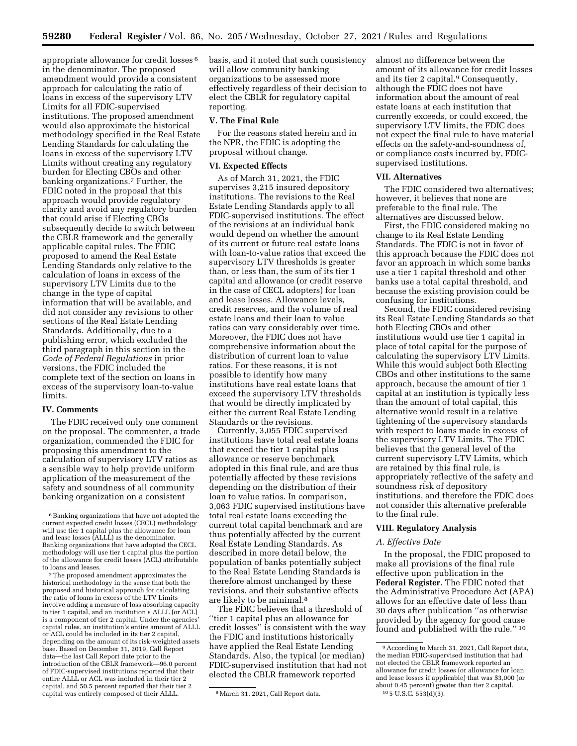appropriate allowance for credit losses 6 in the denominator. The proposed amendment would provide a consistent approach for calculating the ratio of loans in excess of the supervisory LTV Limits for all FDIC-supervised institutions. The proposed amendment would also approximate the historical methodology specified in the Real Estate Lending Standards for calculating the loans in excess of the supervisory LTV Limits without creating any regulatory burden for Electing CBOs and other banking organizations.7 Further, the FDIC noted in the proposal that this approach would provide regulatory clarity and avoid any regulatory burden that could arise if Electing CBOs subsequently decide to switch between the CBLR framework and the generally applicable capital rules. The FDIC proposed to amend the Real Estate Lending Standards only relative to the calculation of loans in excess of the supervisory LTV Limits due to the change in the type of capital information that will be available, and did not consider any revisions to other sections of the Real Estate Lending Standards. Additionally, due to a publishing error, which excluded the third paragraph in this section in the *Code of Federal Regulations* in prior versions, the FDIC included the complete text of the section on loans in excess of the supervisory loan-to-value limits.

## **IV. Comments**

The FDIC received only one comment on the proposal. The commenter, a trade organization, commended the FDIC for proposing this amendment to the calculation of supervisory LTV ratios as a sensible way to help provide uniform application of the measurement of the safety and soundness of all community banking organization on a consistent

7The proposed amendment approximates the historical methodology in the sense that both the proposed and historical approach for calculating the ratio of loans in excess of the LTV Limits involve adding a measure of loss absorbing capacity to tier 1 capital, and an institution's ALLL (or ACL) is a component of tier 2 capital. Under the agencies capital rules, an institution's entire amount of ALLL or ACL could be included in its tier 2 capital, depending on the amount of its risk-weighted assets base. Based on December 31, 2019, Call Report data—the last Call Report date prior to the introduction of the CBLR framework—96.0 percent of FDIC-supervised institutions reported that their entire ALLL or ACL was included in their tier 2 capital, and 50.5 percent reported that their tier 2 capital was entirely composed of their ALLL. 8March 31, 2021, Call Report data.

basis, and it noted that such consistency will allow community banking organizations to be assessed more effectively regardless of their decision to elect the CBLR for regulatory capital reporting.

#### **V. The Final Rule**

For the reasons stated herein and in the NPR, the FDIC is adopting the proposal without change.

# **VI. Expected Effects**

As of March 31, 2021, the FDIC supervises 3,215 insured depository institutions. The revisions to the Real Estate Lending Standards apply to all FDIC-supervised institutions. The effect of the revisions at an individual bank would depend on whether the amount of its current or future real estate loans with loan-to-value ratios that exceed the supervisory LTV thresholds is greater than, or less than, the sum of its tier 1 capital and allowance (or credit reserve in the case of CECL adopters) for loan and lease losses. Allowance levels, credit reserves, and the volume of real estate loans and their loan to value ratios can vary considerably over time. Moreover, the FDIC does not have comprehensive information about the distribution of current loan to value ratios. For these reasons, it is not possible to identify how many institutions have real estate loans that exceed the supervisory LTV thresholds that would be directly implicated by either the current Real Estate Lending Standards or the revisions.

Currently, 3,055 FDIC supervised institutions have total real estate loans that exceed the tier 1 capital plus allowance or reserve benchmark adopted in this final rule, and are thus potentially affected by these revisions depending on the distribution of their loan to value ratios. In comparison, 3,063 FDIC supervised institutions have total real estate loans exceeding the current total capital benchmark and are thus potentially affected by the current Real Estate Lending Standards. As described in more detail below, the population of banks potentially subject to the Real Estate Lending Standards is therefore almost unchanged by these revisions, and their substantive effects are likely to be minimal.8

The FDIC believes that a threshold of ''tier 1 capital plus an allowance for credit losses'' is consistent with the way the FDIC and institutions historically have applied the Real Estate Lending Standards. Also, the typical (or median) FDIC-supervised institution that had not elected the CBLR framework reported

almost no difference between the amount of its allowance for credit losses and its tier 2 capital.9 Consequently, although the FDIC does not have information about the amount of real estate loans at each institution that currently exceeds, or could exceed, the supervisory LTV limits, the FDIC does not expect the final rule to have material effects on the safety-and-soundness of, or compliance costs incurred by, FDICsupervised institutions.

#### **VII. Alternatives**

The FDIC considered two alternatives; however, it believes that none are preferable to the final rule. The alternatives are discussed below.

First, the FDIC considered making no change to its Real Estate Lending Standards. The FDIC is not in favor of this approach because the FDIC does not favor an approach in which some banks use a tier 1 capital threshold and other banks use a total capital threshold, and because the existing provision could be confusing for institutions.

Second, the FDIC considered revising its Real Estate Lending Standards so that both Electing CBOs and other institutions would use tier 1 capital in place of total capital for the purpose of calculating the supervisory LTV Limits. While this would subject both Electing CBOs and other institutions to the same approach, because the amount of tier 1 capital at an institution is typically less than the amount of total capital, this alternative would result in a relative tightening of the supervisory standards with respect to loans made in excess of the supervisory LTV Limits. The FDIC believes that the general level of the current supervisory LTV Limits, which are retained by this final rule, is appropriately reflective of the safety and soundness risk of depository institutions, and therefore the FDIC does not consider this alternative preferable to the final rule.

#### **VIII. Regulatory Analysis**

# *A. Effective Date*

In the proposal, the FDIC proposed to make all provisions of the final rule effective upon publication in the **Federal Register**. The FDIC noted that the Administrative Procedure Act (APA) allows for an effective date of less than 30 days after publication ''as otherwise provided by the agency for good cause found and published with the rule.'' 10

<sup>6</sup>Banking organizations that have not adopted the current expected credit losses (CECL) methodology will use tier 1 capital plus the allowance for loan and lease losses (ALLL) as the denominator. Banking organizations that have adopted the CECL methodology will use tier 1 capital plus the portion of the allowance for credit losses (ACL) attributable to loans and leases.

<sup>9</sup>According to March 31, 2021, Call Report data, the median FDIC-supervised institution that had not elected the CBLR framework reported an allowance for credit losses (or allowance for loan and lease losses if applicable) that was \$3,000 (or about 0.45 percent) greater than tier 2 capital. 10 5 U.S.C. 553(d)(3).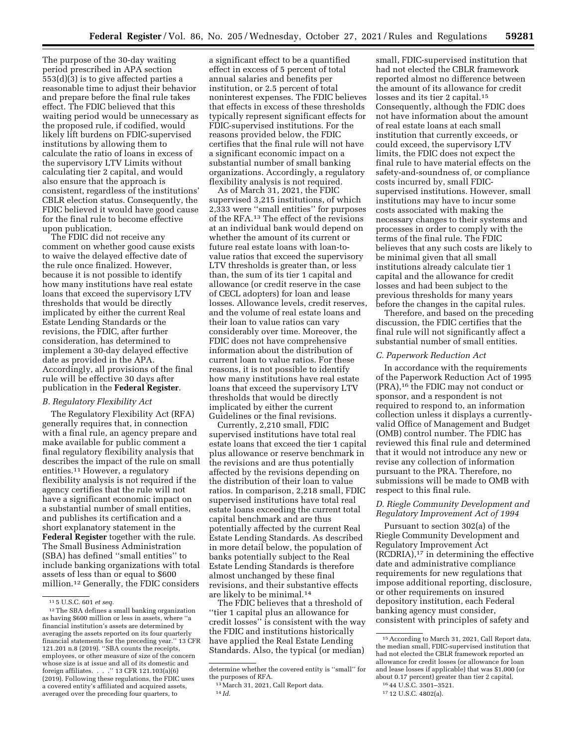The purpose of the 30-day waiting period prescribed in APA section 553(d)(3) is to give affected parties a reasonable time to adjust their behavior and prepare before the final rule takes effect. The FDIC believed that this waiting period would be unnecessary as the proposed rule, if codified, would likely lift burdens on FDIC-supervised institutions by allowing them to calculate the ratio of loans in excess of the supervisory LTV Limits without calculating tier 2 capital, and would also ensure that the approach is consistent, regardless of the institutions' CBLR election status. Consequently, the FDIC believed it would have good cause for the final rule to become effective upon publication.

The FDIC did not receive any comment on whether good cause exists to waive the delayed effective date of the rule once finalized. However, because it is not possible to identify how many institutions have real estate loans that exceed the supervisory LTV thresholds that would be directly implicated by either the current Real Estate Lending Standards or the revisions, the FDIC, after further consideration, has determined to implement a 30-day delayed effective date as provided in the APA. Accordingly, all provisions of the final rule will be effective 30 days after publication in the **Federal Register**.

#### *B. Regulatory Flexibility Act*

The Regulatory Flexibility Act (RFA) generally requires that, in connection with a final rule, an agency prepare and make available for public comment a final regulatory flexibility analysis that describes the impact of the rule on small entities.11 However, a regulatory flexibility analysis is not required if the agency certifies that the rule will not have a significant economic impact on a substantial number of small entities, and publishes its certification and a short explanatory statement in the **Federal Register** together with the rule. The Small Business Administration (SBA) has defined ''small entities'' to include banking organizations with total assets of less than or equal to \$600 million.12 Generally, the FDIC considers

a significant effect to be a quantified effect in excess of 5 percent of total annual salaries and benefits per institution, or 2.5 percent of total noninterest expenses. The FDIC believes that effects in excess of these thresholds typically represent significant effects for FDIC-supervised institutions. For the reasons provided below, the FDIC certifies that the final rule will not have a significant economic impact on a substantial number of small banking organizations. Accordingly, a regulatory flexibility analysis is not required.

As of March 31, 2021, the FDIC supervised 3,215 institutions, of which 2,333 were ''small entities'' for purposes of the RFA.13 The effect of the revisions at an individual bank would depend on whether the amount of its current or future real estate loans with loan-tovalue ratios that exceed the supervisory LTV thresholds is greater than, or less than, the sum of its tier 1 capital and allowance (or credit reserve in the case of CECL adopters) for loan and lease losses. Allowance levels, credit reserves, and the volume of real estate loans and their loan to value ratios can vary considerably over time. Moreover, the FDIC does not have comprehensive information about the distribution of current loan to value ratios. For these reasons, it is not possible to identify how many institutions have real estate loans that exceed the supervisory LTV thresholds that would be directly implicated by either the current Guidelines or the final revisions.

Currently, 2,210 small, FDIC supervised institutions have total real estate loans that exceed the tier 1 capital plus allowance or reserve benchmark in the revisions and are thus potentially affected by the revisions depending on the distribution of their loan to value ratios. In comparison, 2,218 small, FDIC supervised institutions have total real estate loans exceeding the current total capital benchmark and are thus potentially affected by the current Real Estate Lending Standards. As described in more detail below, the population of banks potentially subject to the Real Estate Lending Standards is therefore almost unchanged by these final revisions, and their substantive effects are likely to be minimal.14

The FDIC believes that a threshold of ''tier 1 capital plus an allowance for credit losses'' is consistent with the way the FDIC and institutions historically have applied the Real Estate Lending Standards. Also, the typical (or median)

small, FDIC-supervised institution that had not elected the CBLR framework reported almost no difference between the amount of its allowance for credit losses and its tier 2 capital.15 Consequently, although the FDIC does not have information about the amount of real estate loans at each small institution that currently exceeds, or could exceed, the supervisory LTV limits, the FDIC does not expect the final rule to have material effects on the safety-and-soundness of, or compliance costs incurred by, small FDICsupervised institutions. However, small institutions may have to incur some costs associated with making the necessary changes to their systems and processes in order to comply with the terms of the final rule. The FDIC believes that any such costs are likely to be minimal given that all small institutions already calculate tier 1 capital and the allowance for credit losses and had been subject to the previous thresholds for many years before the changes in the capital rules.

Therefore, and based on the preceding discussion, the FDIC certifies that the final rule will not significantly affect a substantial number of small entities.

# *C. Paperwork Reduction Act*

In accordance with the requirements of the Paperwork Reduction Act of 1995 (PRA),16 the FDIC may not conduct or sponsor, and a respondent is not required to respond to, an information collection unless it displays a currentlyvalid Office of Management and Budget (OMB) control number. The FDIC has reviewed this final rule and determined that it would not introduce any new or revise any collection of information pursuant to the PRA. Therefore, no submissions will be made to OMB with respect to this final rule.

# *D. Riegle Community Development and Regulatory Improvement Act of 1994*

Pursuant to section 302(a) of the Riegle Community Development and Regulatory Improvement Act (RCDRIA),17 in determining the effective date and administrative compliance requirements for new regulations that impose additional reporting, disclosure, or other requirements on insured depository institution, each Federal banking agency must consider, consistent with principles of safety and

<sup>11</sup> 5 U.S.C. 601 *et seq.* 

<sup>12</sup>The SBA defines a small banking organization as having \$600 million or less in assets, where ''a financial institution's assets are determined by averaging the assets reported on its four quarterly financial statements for the preceding year.'' 13 CFR 121.201 n.8 (2019). ''SBA counts the receipts, employees, or other measure of size of the concern whose size is at issue and all of its domestic and foreign affiliates. . . .'' 13 CFR 121.103(a)(6) (2019). Following these regulations, the FDIC uses a covered entity's affiliated and acquired assets, averaged over the preceding four quarters, to

determine whether the covered entity is ''small'' for the purposes of RFA.

<sup>13</sup>March 31, 2021, Call Report data. 14 *Id.* 

<sup>15</sup>According to March 31, 2021, Call Report data, the median small, FDIC-supervised institution that had not elected the CBLR framework reported an allowance for credit losses (or allowance for loan and lease losses if applicable) that was \$1,000 (or about 0.17 percent) greater than tier 2 capital.

<sup>16</sup> 44 U.S.C. 3501–3521.

<sup>17</sup> 12 U.S.C. 4802(a).